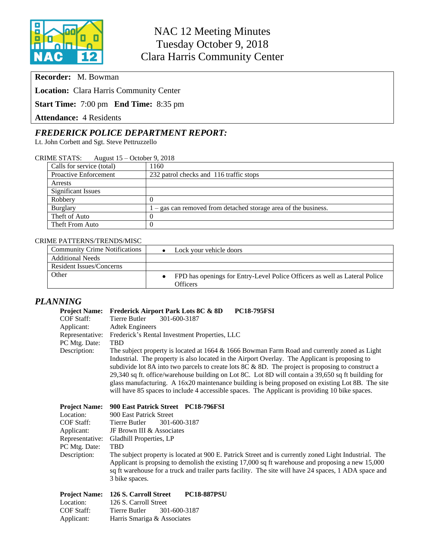

**Recorder:** M. Bowman

**Location:** Clara Harris Community Center

**Start Time:** 7:00 pm **End Time:** 8:35 pm

**Attendance:** 4 Residents

## *FREDERICK POLICE DEPARTMENT REPORT:*

Lt. John Corbett and Sgt. Steve Pettruzzello

### CRIME STATS: August 15 – October 9, 2018

| Calls for service (total)    | 1160                                                          |  |  |
|------------------------------|---------------------------------------------------------------|--|--|
| <b>Proactive Enforcement</b> | 232 patrol checks and 116 traffic stops                       |  |  |
| Arrests                      |                                                               |  |  |
| Significant Issues           |                                                               |  |  |
| Robbery                      |                                                               |  |  |
| <b>Burglary</b>              | - gas can removed from detached storage area of the business. |  |  |
| Theft of Auto                |                                                               |  |  |
| Theft From Auto              |                                                               |  |  |

#### CRIME PATTERNS/TRENDS/MISC

| <b>Community Crime Notifications</b> | Lock your vehicle doors                                                                |
|--------------------------------------|----------------------------------------------------------------------------------------|
| <b>Additional Needs</b>              |                                                                                        |
| Resident Issues/Concerns             |                                                                                        |
| Other                                | FPD has openings for Entry-Level Police Officers as well as Lateral Police<br>Officers |

#### *PLANNING*

| <b>Project Name:</b> | <b>Frederick Airport Park Lots 8C &amp; 8D</b><br><b>PC18-795FSI</b>                                  |  |  |  |  |
|----------------------|-------------------------------------------------------------------------------------------------------|--|--|--|--|
| COF Staff:           | 301-600-3187<br>Tierre Butler                                                                         |  |  |  |  |
| Applicant:           | <b>Adtek Engineers</b>                                                                                |  |  |  |  |
| Representative:      | Frederick's Rental Investment Properties, LLC                                                         |  |  |  |  |
| PC Mtg. Date:        | <b>TBD</b>                                                                                            |  |  |  |  |
| Description:         | The subject property is located at 1664 & 1666 Bowman Farm Road and currently zoned as Light          |  |  |  |  |
|                      | Industrial. The property is also located in the Airport Overlay. The Applicant is proposing to        |  |  |  |  |
|                      | subdivide lot 8A into two parcels to create lots $8C \& 8D$ . The project is proposing to construct a |  |  |  |  |
|                      | 29,340 sq ft. office/warehouse building on Lot 8C. Lot 8D will contain a 39,650 sq ft building for    |  |  |  |  |
|                      | glass manufacturing. A 16x20 maintenance building is being proposed on existing Lot 8B. The site      |  |  |  |  |
|                      | will have 85 spaces to include 4 accessible spaces. The Applicant is providing 10 bike spaces.        |  |  |  |  |

| <b>Project Name:</b> | 900 East Patrick Street PC18-796FSI                                                                                                                                                                                                                                                                                                  |  |
|----------------------|--------------------------------------------------------------------------------------------------------------------------------------------------------------------------------------------------------------------------------------------------------------------------------------------------------------------------------------|--|
| Location:            | 900 East Patrick Street                                                                                                                                                                                                                                                                                                              |  |
| <b>COF Staff:</b>    | 301-600-3187<br>Tierre Butler                                                                                                                                                                                                                                                                                                        |  |
| Applicant:           | JF Brown III & Associates                                                                                                                                                                                                                                                                                                            |  |
| Representative:      | Gladhill Properties, LP                                                                                                                                                                                                                                                                                                              |  |
| PC Mtg. Date:        | <b>TRD</b>                                                                                                                                                                                                                                                                                                                           |  |
| Description:         | The subject property is located at 900 E. Patrick Street and is currently zoned Light Industrial. The<br>Applicant is propsing to demolish the existing 17,000 sq ft warehouse and proposing a new 15,000<br>sq ft warehouse for a truck and trailer parts facility. The site will have 24 spaces, 1 ADA space and<br>3 bike spaces. |  |

|            | <b>Project Name: 126 S. Carroll Street</b> |  | <b>PC18-887PSU</b> |  |
|------------|--------------------------------------------|--|--------------------|--|
| Location:  | 126 S. Carroll Street                      |  |                    |  |
| COF Staff: | Tierre Butler 301-600-3187                 |  |                    |  |
| Applicant: | Harris Smariga & Associates                |  |                    |  |